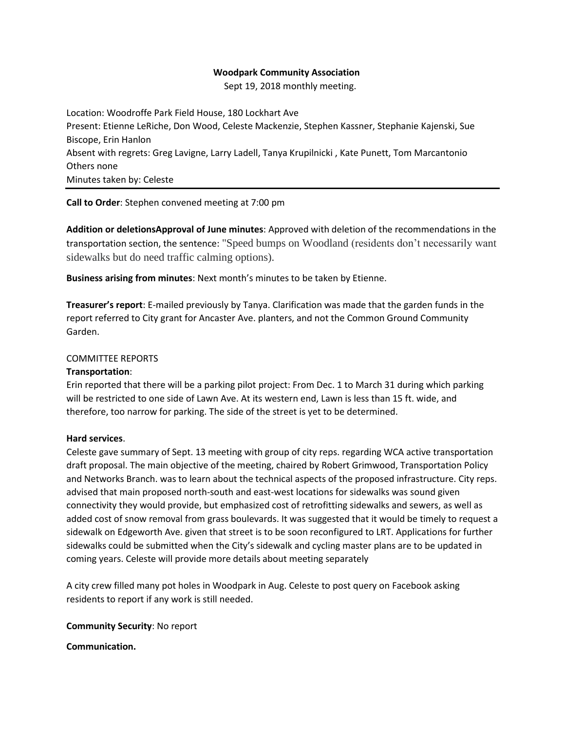## **Woodpark Community Association**

Sept 19, 2018 monthly meeting.

Location: Woodroffe Park Field House, 180 Lockhart Ave Present: Etienne LeRiche, Don Wood, Celeste Mackenzie, Stephen Kassner, Stephanie Kajenski, Sue Biscope, Erin Hanlon Absent with regrets: Greg Lavigne, Larry Ladell, Tanya Krupilnicki , Kate Punett, Tom Marcantonio Others none Minutes taken by: Celeste

**Call to Order**: Stephen convened meeting at 7:00 pm

**Addition or deletionsApproval of June minutes**: Approved with deletion of the recommendations in the transportation section, the sentence: "Speed bumps on Woodland (residents don't necessarily want sidewalks but do need traffic calming options).

**Business arising from minutes**: Next month's minutes to be taken by Etienne.

**Treasurer's report**: E-mailed previously by Tanya. Clarification was made that the garden funds in the report referred to City grant for Ancaster Ave. planters, and not the Common Ground Community Garden.

## COMMITTEE REPORTS

#### **Transportation**:

Erin reported that there will be a parking pilot project: From Dec. 1 to March 31 during which parking will be restricted to one side of Lawn Ave. At its western end, Lawn is less than 15 ft. wide, and therefore, too narrow for parking. The side of the street is yet to be determined.

#### **Hard services**.

Celeste gave summary of Sept. 13 meeting with group of city reps. regarding WCA active transportation draft proposal. The main objective of the meeting, chaired by Robert Grimwood, Transportation Policy and Networks Branch. was to learn about the technical aspects of the proposed infrastructure. City reps. advised that main proposed north-south and east-west locations for sidewalks was sound given connectivity they would provide, but emphasized cost of retrofitting sidewalks and sewers, as well as added cost of snow removal from grass boulevards. It was suggested that it would be timely to request a sidewalk on Edgeworth Ave. given that street is to be soon reconfigured to LRT. Applications for further sidewalks could be submitted when the City's sidewalk and cycling master plans are to be updated in coming years. Celeste will provide more details about meeting separately

A city crew filled many pot holes in Woodpark in Aug. Celeste to post query on Facebook asking residents to report if any work is still needed.

**Community Security**: No report

**Communication.**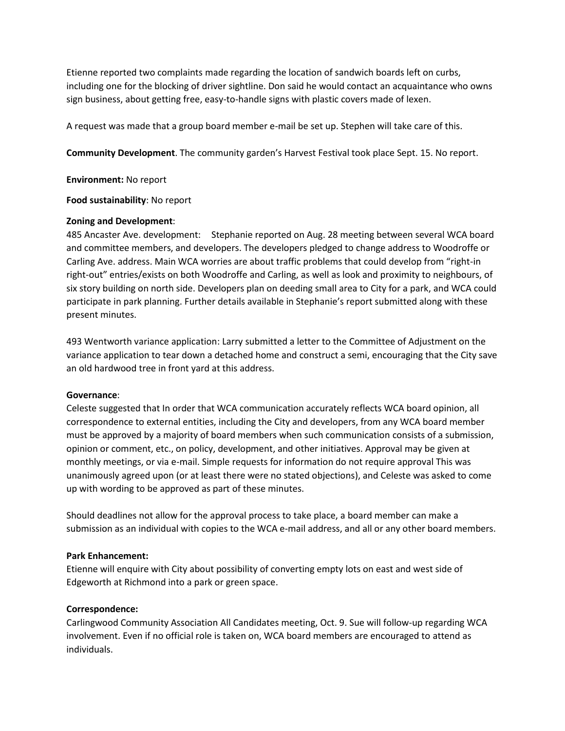Etienne reported two complaints made regarding the location of sandwich boards left on curbs, including one for the blocking of driver sightline. Don said he would contact an acquaintance who owns sign business, about getting free, easy-to-handle signs with plastic covers made of lexen.

A request was made that a group board member e-mail be set up. Stephen will take care of this.

**Community Development**. The community garden's Harvest Festival took place Sept. 15. No report.

**Environment:** No report

**Food sustainability**: No report

## **Zoning and Development**:

485 Ancaster Ave. development: Stephanie reported on Aug. 28 meeting between several WCA board and committee members, and developers. The developers pledged to change address to Woodroffe or Carling Ave. address. Main WCA worries are about traffic problems that could develop from "right-in right-out" entries/exists on both Woodroffe and Carling, as well as look and proximity to neighbours, of six story building on north side. Developers plan on deeding small area to City for a park, and WCA could participate in park planning. Further details available in Stephanie's report submitted along with these present minutes.

493 Wentworth variance application: Larry submitted a letter to the Committee of Adjustment on the variance application to tear down a detached home and construct a semi, encouraging that the City save an old hardwood tree in front yard at this address.

#### **Governance**:

Celeste suggested that In order that WCA communication accurately reflects WCA board opinion, all correspondence to external entities, including the City and developers, from any WCA board member must be approved by a majority of board members when such communication consists of a submission, opinion or comment, etc., on policy, development, and other initiatives. Approval may be given at monthly meetings, or via e-mail. Simple requests for information do not require approval This was unanimously agreed upon (or at least there were no stated objections), and Celeste was asked to come up with wording to be approved as part of these minutes.

Should deadlines not allow for the approval process to take place, a board member can make a submission as an individual with copies to the WCA e-mail address, and all or any other board members.

## **Park Enhancement:**

Etienne will enquire with City about possibility of converting empty lots on east and west side of Edgeworth at Richmond into a park or green space.

## **Correspondence:**

Carlingwood Community Association All Candidates meeting, Oct. 9. Sue will follow-up regarding WCA involvement. Even if no official role is taken on, WCA board members are encouraged to attend as individuals.